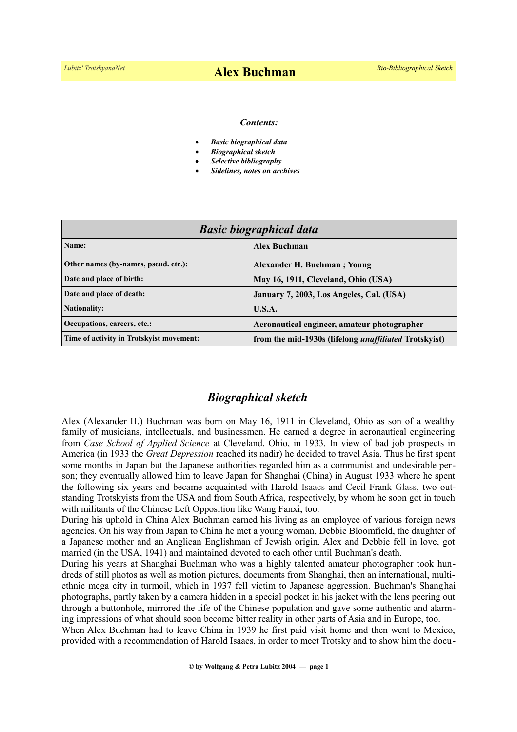#### *Contents:*

- *Basic biographical data*
- *Biographical sketch*
- *Selective bibliography*
- *Sidelines, notes on archives*

| <b>Basic biographical data</b>           |                                                              |
|------------------------------------------|--------------------------------------------------------------|
| Name:                                    | <b>Alex Buchman</b>                                          |
| Other names (by-names, pseud. etc.):     | Alexander H. Buchman; Young                                  |
| Date and place of birth:                 | May 16, 1911, Cleveland, Ohio (USA)                          |
| Date and place of death:                 | January 7, 2003, Los Angeles, Cal. (USA)                     |
| <b>Nationality:</b>                      | U.S.A.                                                       |
| Occupations, careers, etc.:              | Aeronautical engineer, amateur photographer                  |
| Time of activity in Trotskyist movement: | from the mid-1930s (lifelong <i>unaffiliated</i> Trotskyist) |

### *Biographical sketch*

Alex (Alexander H.) Buchman was born on May 16, 1911 in Cleveland, Ohio as son of a wealthy family of musicians, intellectuals, and businessmen. He earned a degree in aeronautical engineering from *Case School of Applied Science* at Cleveland, Ohio, in 1933. In view of bad job prospects in America (in 1933 the *Great Depression* reached its nadir) he decided to travel Asia. Thus he first spent some months in Japan but the Japanese authorities regarded him as a communist and undesirable person; they eventually allowed him to leave Japan for Shanghai (China) in August 1933 where he spent the following six years and became acquainted with Harold [Isaacs](https://en.wikipedia.org/wiki/Harold_Isaacs) and Cecil Frank [Glass,](https://www.trotskyana.net/Trotskyists/Bio-Bibliographies/bio-bibl_glass.pdf) two outstanding Trotskyists from the USA and from South Africa, respectively, by whom he soon got in touch with militants of the Chinese Left Opposition like Wang Fanxi, too.

During his uphold in China Alex Buchman earned his living as an employee of various foreign news agencies. On his way from Japan to China he met a young woman, Debbie Bloomfield, the daughter of a Japanese mother and an Anglican Englishman of Jewish origin. Alex and Debbie fell in love, got married (in the USA, 1941) and maintained devoted to each other until Buchman's death.

During his years at Shanghai Buchman who was a highly talented amateur photographer took hundreds of still photos as well as motion pictures, documents from Shanghai, then an international, multiethnic mega city in turmoil, which in 1937 fell victim to Japanese aggression. Buchman's Shanghai photographs, partly taken by a camera hidden in a special pocket in his jacket with the lens peering out through a buttonhole, mirrored the life of the Chinese population and gave some authentic and alarming impressions of what should soon become bitter reality in other parts of Asia and in Europe, too.

When Alex Buchman had to leave China in 1939 he first paid visit home and then went to Mexico, provided with a recommendation of Harold Isaacs, in order to meet Trotsky and to show him the docu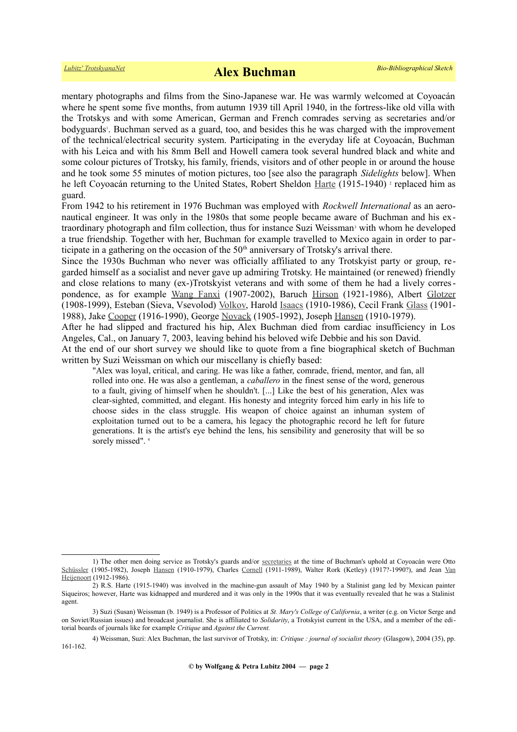mentary photographs and films from the Sino-Japanese war. He was warmly welcomed at Coyoacán where he spent some five months, from autumn 1939 till April 1940, in the fortress-like old villa with the Trotskys and with some American, German and French comrades serving as secretaries and/or bodyguards<sup>[1](#page-1-0)</sup>. Buchman served as a guard, too, and besides this he was charged with the improvement of the technical/electrical security system. Participating in the everyday life at Coyoacán, Buchman with his Leica and with his 8mm Bell and Howell camera took several hundred black and white and some colour pictures of Trotsky, his family, friends, visitors and of other people in or around the house and he took some 55 minutes of motion pictures, too [see also the paragraph *Sidelights* below]. When he left Coyoacán returning to the United States, Robert Sheldon [Harte](https://en.wikipedia.org/wiki/Robert_Sheldon_Harte) (1915-1940)<sup>[2](#page-1-1)</sup> replaced him as guard.

From 1942 to his retirement in 1976 Buchman was employed with *Rockwell International* as an aeronautical engineer. It was only in the 1980s that some people became aware of Buchman and his ex-traordinary photograph and film collection, thus for instance Suzi Weissman<sup>[3](#page-1-2)</sup> with whom he developed a true friendship. Together with her, Buchman for example travelled to Mexico again in order to participate in a gathering on the occasion of the  $50<sup>th</sup>$  anniversary of Trotsky's arrival there.

Since the 1930s Buchman who never was officially affiliated to any Trotskyist party or group, regarded himself as a socialist and never gave up admiring Trotsky. He maintained (or renewed) friendly and close relations to many (ex-)Trotskyist veterans and with some of them he had a lively correspondence, as for example [Wang Fanxi](https://en.wikipedia.org/wiki/Wang_Fanxi) (1907-2002), Baruch [Hirson](https://www.trotskyana.net/Trotskyists/Bio-Bibliographies/bio-bibl_hirson.pdf) (1921-1986), Albert [Glotzer](https://en.wikipedia.org/wiki/Albert_Glotzer) (1908-1999), Esteban (Sieva, Vsevolod) [Volkov,](https://de.wikipedia.org/wiki/Esteban_Volkov) Harold [Isaacs](https://en.wikipedia.org/wiki/Harold_Isaacs) (1910-1986), Cecil Frank [Glass](https://www.trotskyana.net/Trotskyists/Bio-Bibliographies/bio-bibl_glass.pdf) (1901- 1988), Jake [Cooper](https://en.wikipedia.org/wiki/Jake_Cooper) (1916-1990), George [Novack](https://www.trotskyana.net/Trotskyists/Bio-Bibliographies/bio-bibl_Novack.pdf) (1905-1992), Joseph [Hansen](https://www.trotskyana.net/Trotskyists/Bio-Bibliographies/bio-bibl_hansen_j.pdf) (1910-1979).

After he had slipped and fractured his hip, Alex Buchman died from cardiac insufficiency in Los Angeles, Cal., on January 7, 2003, leaving behind his beloved wife Debbie and his son David.

At the end of our short survey we should like to quote from a fine biographical sketch of Buchman written by Suzi Weissman on which our miscellany is chiefly based:

"Alex was loyal, critical, and caring. He was like a father, comrade, friend, mentor, and fan, all rolled into one. He was also a gentleman, a *caballero* in the finest sense of the word, generous to a fault, giving of himself when he shouldn't. [...] Like the best of his generation, Alex was clear-sighted, committed, and elegant. His honesty and integrity forced him early in his life to choose sides in the class struggle. His weapon of choice against an inhuman system of exploitation turned out to be a camera, his legacy the photographic record he left for future generations. It is the artist's eye behind the lens, his sensibility and generosity that will be so sorelymissed". 4

<span id="page-1-0"></span><sup>1)</sup> The other men doing service as Trotsky's guards and/or [secretaries](https://www.trotskyana.net/Leon_Trotsky/Pseudonyms/trotsky_pseudonyms.html#secretaries) at the time of Buchman's uphold at Coyoacán were Otto [Schüssler](https://www.trotskyana.net/Trotskyists/Bio-Bibliographies/bio-bibl_schuessler.pdf) (1905-1982), Joseph [Hansen](http://www.trotskyana.net/Trotskyists/Bio-Bibliographies/bio-bibl_hansen_j.pdf) (1910-1979), Charles [Cornell](https://www.trotskyana.net/Trotskyists/Bio-Bibliographies/bio-bibl_cornell.pdf) (1911-1989), Walter Rork (Ketley) (1917?-1990?), and Jean [Van](https://www.trotskyana.net/Trotskyists/Bio-Bibliographies/bio-bibl_vanheijenoort.pdf) [Heijenoort](https://www.trotskyana.net/Trotskyists/Bio-Bibliographies/bio-bibl_vanheijenoort.pdf) (1912-1986).

<span id="page-1-1"></span><sup>2)</sup> R.S. Harte (1915-1940) was involved in the machine-gun assault of May 1940 by a Stalinist gang led by Mexican painter Siqueiros; however, Harte was kidnapped and murdered and it was only in the 1990s that it was eventually revealed that he was a Stalinist agent.

<span id="page-1-2"></span><sup>3)</sup> Suzi (Susan) Weissman (b. 1949) is a Professor of Politics at *St. Mary's College of California*, a writer (e.g. on Victor Serge and on Soviet/Russian issues) and broadcast journalist. She is affiliated to *Solidarity*, a Trotskyist current in the USA, and a member of the editorial boards of journals like for example *Critique* and *Against the Current.*

<span id="page-1-3"></span><sup>4)</sup> Weissman, Suzi: Alex Buchman, the last survivor of Trotsky, in: *Critique : journal of socialist theory* (Glasgow), 2004 (35), pp. 161-162.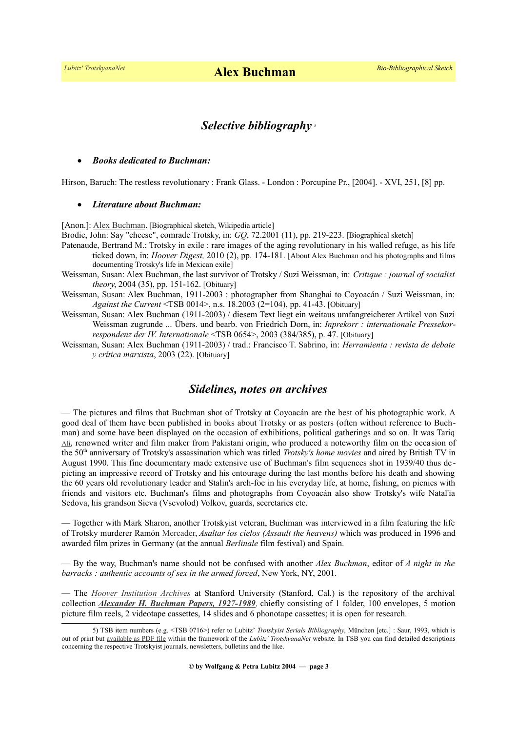*[Lubitz' TrotskyanaNet](https://www.trotskyana.net/)* **Alex Buchman** *Bio-Bibliographical Sketch*

# *Selective bibliography* [5](#page-2-0)

### *Books dedicated to Buchman:*

Hirson, Baruch: The restless revolutionary : Frank Glass. - London : Porcupine Pr., [2004]. - XVI, 251, [8] pp.

### *Literature about Buchman:*

[Anon.]: [Alex Buchman.](https://en.wikipedia.org/wiki/Alex_Buchman) [Biographical sketch, Wikipedia article]

Brodie, John: Say "cheese", comrade Trotsky, in: *GQ*, 72.2001 (11), pp. 219-223. [Biographical sketch]

- Patenaude, Bertrand M.: Trotsky in exile : rare images of the aging revolutionary in his walled refuge, as his life ticked down, in: *Hoover Digest,* 2010 (2), pp. 174-181. [About Alex Buchman and his photographs and films documenting Trotsky's life in Mexican exile]
- Weissman, Susan: Alex Buchman, the last survivor of Trotsky / Suzi Weissman, in: *Critique : journal of socialist theory*, 2004 (35), pp. 151-162. [Obituary]
- Weissman, Susan: Alex Buchman, 1911-2003 : photographer from Shanghai to Coyoacán / Suzi Weissman, in: *Against the Current* <TSB 0014>, n.s. 18.2003 (2=104), pp. 41-43. [Obituary]
- Weissman, Susan: Alex Buchman (1911-2003) / diesem Text liegt ein weitaus umfangreicherer Artikel von Suzi Weissman zugrunde ... Übers. und bearb. von Friedrich Dorn, in: *Inprekorr : internationale Pressekorrespondenz der IV. Internationale* <TSB 0654>, 2003 (384/385), p. 47. [Obituary]
- Weissman, Susan: Alex Buchman (1911-2003) / trad.: Francisco T. Sabrino, in: *Herramienta : revista de debate y crítica marxista*, 2003 (22). [Obituary]

# *Sidelines, notes on archives*

— The pictures and films that Buchman shot of Trotsky at Coyoacán are the best of his photographic work. A good deal of them have been published in books about Trotsky or as posters (often without reference to Buchman) and some have been displayed on the occasion of exhibitions, political gatherings and so on. It was Tariq [Ali](https://en.wikipedia.org/wiki/Tariq_Ali), renowned writer and film maker from Pakistani origin, who produced a noteworthy film on the occasion of the 50th anniversary of Trotsky's assassination which was titled *Trotsky's home movies* and aired by British TV in August 1990. This fine documentary made extensive use of Buchman's film sequences shot in 1939/40 thus de picting an impressive record of Trotsky and his entourage during the last months before his death and showing the 60 years old revolutionary leader and Stalin's arch-foe in his everyday life, at home, fishing, on picnics with friends and visitors etc. Buchman's films and photographs from Coyoacán also show Trotsky's wife Natal'ia Sedova, his grandson Sieva (Vsevolod) Volkov, guards, secretaries etc.

— Together with Mark Sharon, another Trotskyist veteran, Buchman was interviewed in a film featuring the life of Trotsky murderer Ramón [Mercader,](https://en.wikipedia.org/wiki/Ram%C3%B3n_Mercader) *Asaltar los cielos (Assault the heavens)* which was produced in 1996 and awarded film prizes in Germany (at the annual *Berlinale* film festival) and Spain.

— By the way, Buchman's name should not be confused with another *Alex Buchman*, editor of *A night in the barracks : authentic accounts of sex in the armed forced*, New York, NY, 2001.

— The *[Hoover Institution Archives](https://www.trotskyana.net/Research_facilities/PublicArchives_America/publicarchives_america.html#hoover)* at Stanford University (Stanford, Cal.) is the repository of the archival collection *[Alexander H. Buchman Papers, 1927-1989](http://www.oac.cdlib.org/findaid/ark:/13030/tf6199n7s5/)*, chiefly consisting of 1 folder, 100 envelopes, 5 motion picture film reels, 2 videotape cassettes, 14 slides and 6 phonotape cassettes; it is open for research.

<span id="page-2-0"></span><sup>5)</sup> TSB item numbers (e.g. <TSB 0716>) refer to Lubitz' *Trotskyist Serials Bibliography*, München [etc.] : Saur, 1993, which is out of print but [available as PDF file](https://www.trotskyana.net/LubitzBibliographies/Serials_Bibliography/serials_bibliography.htm#PDF) within the framework of the *Lubitz' TrotskyanaNet* website. In TSB you can find detailed descriptions concerning the respective Trotskyist journals, newsletters, bulletins and the like.